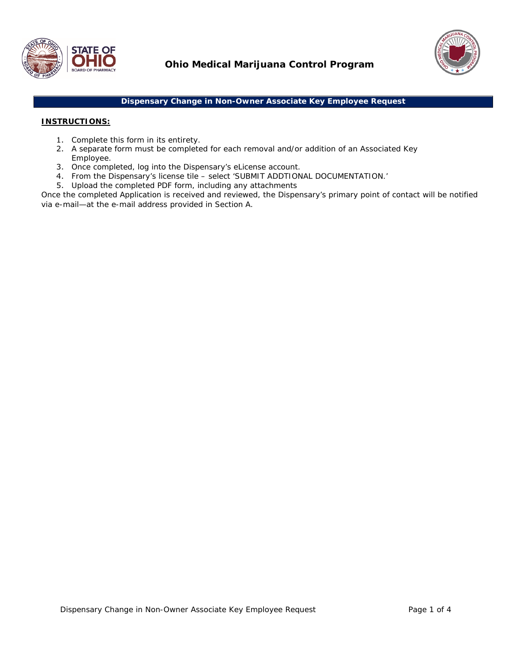



## **Dispensary Change in Non-Owner Associate Key Employee Request**

## **INSTRUCTIONS:**

- 1. Complete this form in its entirety.
- 2. A separate form must be completed for each removal and/or addition of an Associated Key Employee.
- 3. Once completed, log into the Dispensary's eLicense account.
- 4. From the Dispensary's license tile select 'SUBMIT ADDTIONAL DOCUMENTATION.'
- 5. Upload the completed PDF form, including any attachments

Once the completed Application is received and reviewed, the Dispensary's primary point of contact will be notified via e-mail—at the e-mail address provided in Section A.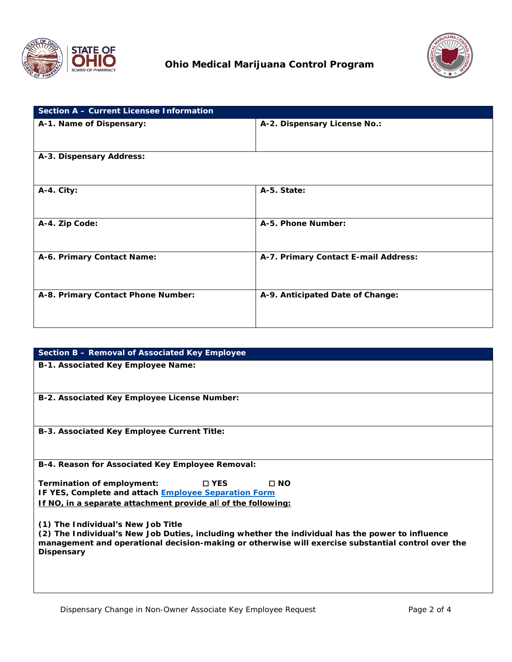



| Section A - Current Licensee Information |                                      |
|------------------------------------------|--------------------------------------|
| A-1. Name of Dispensary:                 | A-2. Dispensary License No.:         |
| A-3. Dispensary Address:                 |                                      |
| A-4. City:                               | A-5. State:                          |
| A-4. Zip Code:                           | A-5. Phone Number:                   |
| A-6. Primary Contact Name:               | A-7. Primary Contact E-mail Address: |
| A-8. Primary Contact Phone Number:       | A-9. Anticipated Date of Change:     |

| Section B - Removal of Associated Key Employee                                                                                         |
|----------------------------------------------------------------------------------------------------------------------------------------|
| <b>B-1. Associated Key Employee Name:</b>                                                                                              |
|                                                                                                                                        |
|                                                                                                                                        |
| B-2. Associated Key Employee License Number:                                                                                           |
|                                                                                                                                        |
|                                                                                                                                        |
| B-3. Associated Key Employee Current Title:                                                                                            |
|                                                                                                                                        |
| B-4. Reason for Associated Key Employee Removal:                                                                                       |
|                                                                                                                                        |
| $\Box$ NO<br>Termination of employment:<br>$\square$ YES                                                                               |
| IF YES, Complete and attach <b>Employee Separation Form</b>                                                                            |
| If NO, in a separate attachment provide all of the following:                                                                          |
|                                                                                                                                        |
| (1) The Individual's New Job Title<br>(2) The Individual's New Job Duties, including whether the individual has the power to influence |
| management and operational decision-making or otherwise will exercise substantial control over the                                     |
| Dispensary                                                                                                                             |
|                                                                                                                                        |
|                                                                                                                                        |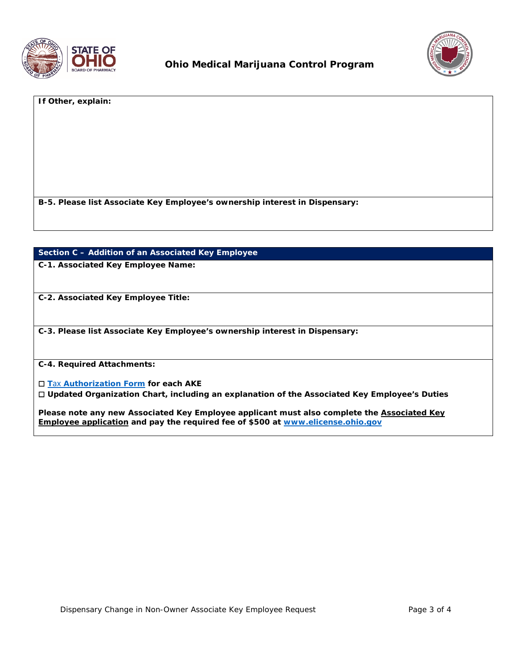



**If Other, explain:**

**B-5. Please list Associate Key Employee's ownership interest in Dispensary:**

## **Section C – Addition of an Associated Key Employee**

**C-1. Associated Key Employee Name:**

**C-2. Associated Key Employee Title:**

**C-3. Please list Associate Key Employee's ownership interest in Dispensary:**

**C-4. Required Attachments:**

☐ **T**ax **[Authorization Form](https://www.medicalmarijuana.ohio.gov/Documents/LicenseeResources/Dispensary%20Licensee%20Resources/Dispensary%20&%20Employee%20License%20Renewal/Tax%20Authorization%20Form.pdf) for each AKE**

☐ **Updated Organization Chart, including an explanation of the Associated Key Employee's Duties**

**Please note any new Associated Key Employee applicant must also complete the Associated Key Employee application and pay the required fee of \$500 at [www.elicense.ohio.gov](http://www.elicense.ohio.gov/)**